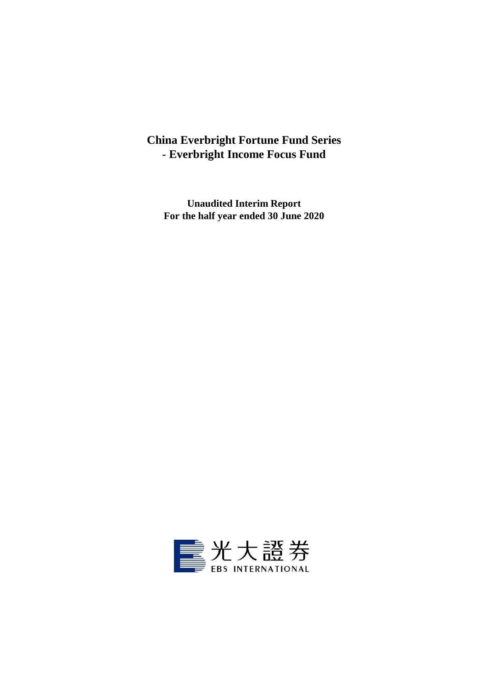## **China Everbright Fortune Fund Series - Everbright Income Focus Fund**

**Unaudited Interim Report For the half year ended 30 June 2020**

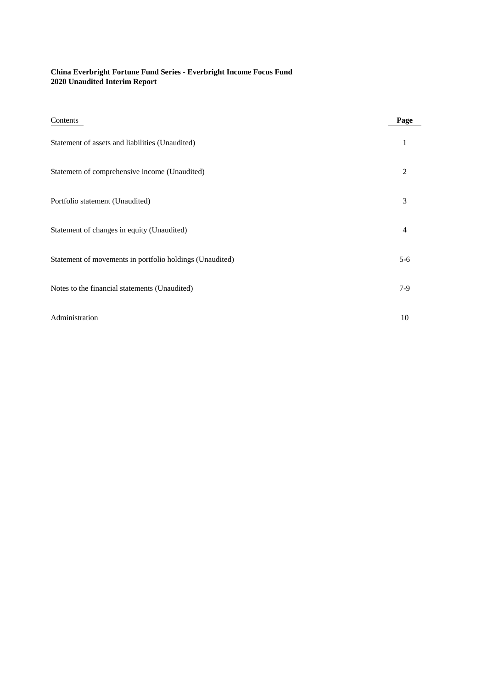## **China Everbright Fortune Fund Series - Everbright Income Focus Fund 2020 Unaudited Interim Report**

| Contents                                                 | Page           |
|----------------------------------------------------------|----------------|
| Statement of assets and liabilities (Unaudited)          | 1              |
| Statemetn of comprehensive income (Unaudited)            | $\overline{2}$ |
| Portfolio statement (Unaudited)                          | 3              |
| Statement of changes in equity (Unaudited)               | 4              |
| Statement of movements in portfolio holdings (Unaudited) | $5 - 6$        |
| Notes to the financial statements (Unaudited)            | $7-9$          |
| Administration                                           | 10             |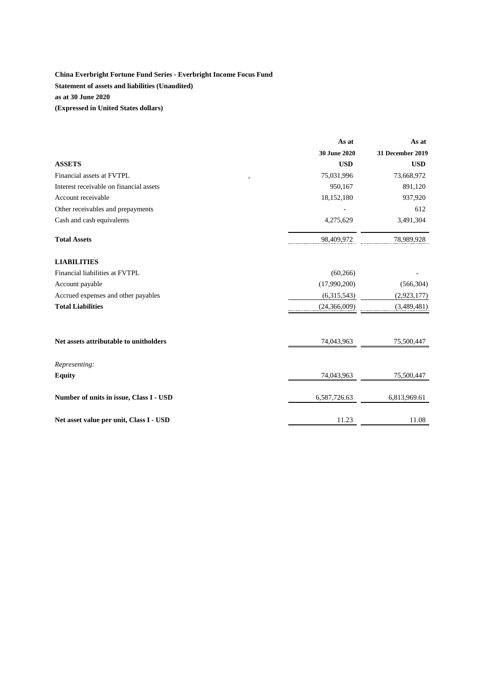## **China Everbright Fortune Fund Series - Everbright Income Focus Fund Statement of assets and liabilities (Unaudited) as at 30 June 2020 (Expressed in United States dollars)**

|                                         | As at               | As at                   |
|-----------------------------------------|---------------------|-------------------------|
|                                         | <b>30 June 2020</b> | <b>31 December 2019</b> |
| <b>ASSETS</b>                           | <b>USD</b>          | <b>USD</b>              |
| Financial assets at FVTPL<br>,          | 75,031,996          | 73,668,972              |
| Interest receivable on financial assets | 950,167             | 891,120                 |
| Account receivable                      | 18,152,180          | 937,920                 |
| Other receivables and prepayments       |                     | 612                     |
| Cash and cash equivalents               | 4,275,629           | 3,491,304               |
| <b>Total Assets</b>                     | 98,409,972          | 78,989,928              |
| <b>LIABILITIES</b>                      |                     |                         |
| Financial liabilities at FVTPL          | (60, 266)           |                         |
| Account payable                         | (17,990,200)        | (566, 304)              |
| Accrued expenses and other payables     | (6,315,543)         | (2,923,177)             |
| <b>Total Liabilities</b>                | (24, 366, 009)      | (3,489,481)             |
| Net assets attributable to unitholders  | 74,043,963          | 75,500,447              |
| Representing:                           |                     |                         |
| <b>Equity</b>                           | 74,043,963          | 75,500,447              |
| Number of units in issue, Class I - USD | 6,587,726.63        | 6,813,969.61            |
| Net asset value per unit, Class I - USD | 11.23               | 11.08                   |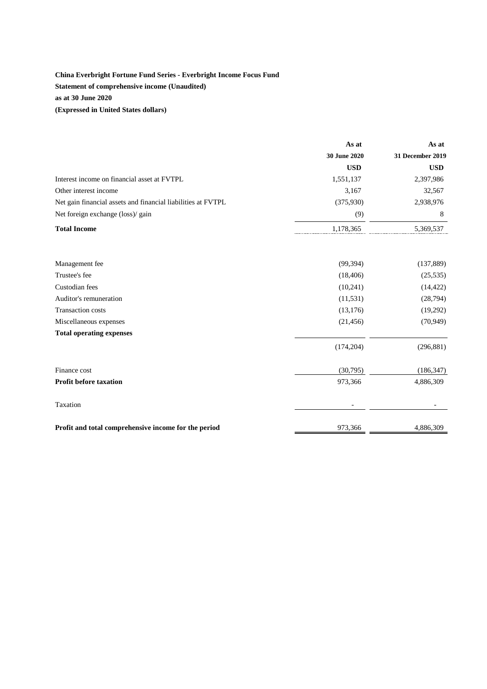## **China Everbright Fortune Fund Series - Everbright Income Focus Fund Statement of comprehensive income (Unaudited) as at 30 June 2020 (Expressed in United States dollars)**

|                                                              | As at        | As at            |
|--------------------------------------------------------------|--------------|------------------|
|                                                              | 30 June 2020 | 31 December 2019 |
|                                                              | <b>USD</b>   | <b>USD</b>       |
| Interest income on financial asset at FVTPL                  | 1,551,137    | 2,397,986        |
| Other interest income                                        | 3,167        | 32,567           |
| Net gain financial assets and financial liabilities at FVTPL | (375,930)    | 2,938,976        |
| Net foreign exchange (loss)/ gain                            | (9)          | 8                |
| <b>Total Income</b>                                          | 1,178,365    | 5,369,537        |
| Management fee                                               | (99, 394)    | (137, 889)       |
| Trustee's fee                                                | (18, 406)    | (25, 535)        |
| Custodian fees                                               | (10,241)     | (14, 422)        |
| Auditor's remuneration                                       | (11, 531)    | (28, 794)        |
| <b>Transaction costs</b>                                     | (13, 176)    | (19,292)         |
| Miscellaneous expenses                                       | (21, 456)    | (70, 949)        |
| <b>Total operating expenses</b>                              |              |                  |
|                                                              | (174, 204)   | (296, 881)       |
| Finance cost                                                 | (30,795)     | (186, 347)       |
| <b>Profit before taxation</b>                                | 973,366      | 4,886,309        |
| Taxation                                                     |              |                  |
| Profit and total comprehensive income for the period         | 973,366      | 4,886,309        |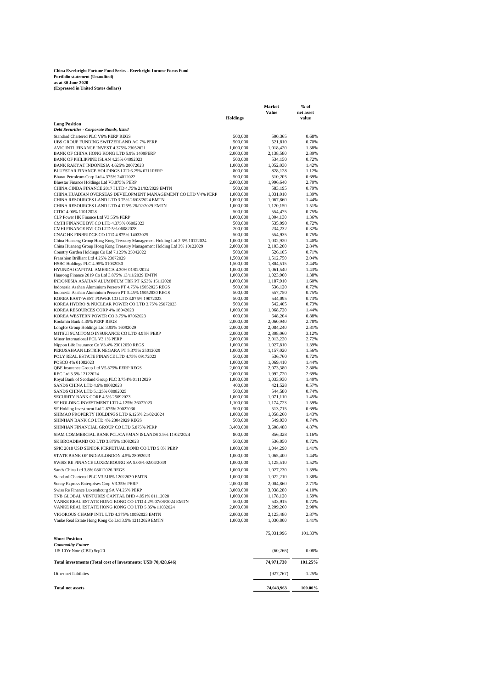# **China Everbright Fortune Fund Series - Everbright Income Focus Fund Portfolio statement (Unaudited) as at 30 June 2020 (Expressed in United States dollars)**

|                                                                                                           | <b>Holdings</b>        | Value                  | net asset<br>value |
|-----------------------------------------------------------------------------------------------------------|------------------------|------------------------|--------------------|
| <b>Long Position</b>                                                                                      |                        |                        |                    |
| Debt Securities - Corporate Bonds, listed                                                                 |                        |                        |                    |
| Standard Chartered PLC V6% PERP REGS                                                                      | 500,000                | 500,365                | 0.68%              |
| UBS GROUP FUNDING SWITZERLAND AG 7% PERP<br>AVIC INTL FINANCE INVEST 4.375% 23052021                      | 500,000<br>1,000,000   | 521,810<br>1,018,420   | 0.70%<br>1.38%     |
| BANK OF CHINA HONG KONG LTD 5.9% 1409PERP                                                                 | 2,000,000              | 2,138,580              | 2.89%              |
| BANK OF PHILIPPINE ISLAN 4.25% 04092023                                                                   | 500,000                | 534,150                | 0.72%              |
| BANK RAKYAT INDONESIA 4.625% 20072023<br>BLUESTAR FINANCE HOLDINGS LTD 6.25% 0711PERP                     | 1,000,000              | 1,052,030              | 1.42%              |
| Bharat Petroleum Corp Ltd 4.375% 24012022                                                                 | 800,000<br>500,000     | 828,128<br>510,205     | 1.12%<br>0.69%     |
| Bluestar Finance Holdings Ltd V3.875% PERP                                                                | 2,000,000              | 1,996,640              | 2.70%              |
| CHINA CINDA FINANCE 2017 I LTD 4.75% 21/02/2029 EMTN                                                      | 500,000                | 583,195                | 0.79%              |
| CHINA HUADIAN OVERSEAS DEVELOPMENT MANAGEMENT CO LTD V4% PERP                                             | 1,000,000              | 1,031,010              | 1.39%              |
| CHINA RESOURCES LAND LTD 3.75% 26/08/2024 EMTN<br>CHINA RESOURCES LAND LTD 4.125% 26/02/2029 EMTN         | 1,000,000<br>1,000,000 | 1,067,860<br>1,120,150 | 1.44%<br>1.51%     |
| CITIC 4.00% 11012028                                                                                      | 500,000                | 554,475                | 0.75%              |
| CLP Power HK Finance Ltd V3.55% PERP                                                                      | 1,000,000              | 1,004,130              | 1.36%              |
| CMHI FINANCE BVI CO LTD 4.375% 06082023                                                                   | 500,000                | 535,990                | 0.72%              |
| CMHI FINANCE BVI CO LTD 5% 06082028<br>CNAC HK FINBRIDGE CO LTD 4.875% 14032025                           | 200,000<br>500,000     | 234,232                | 0.32%<br>0.75%     |
| China Huaneng Group Hong Kong Treasury Management Holding Ltd 2.6% 10122024                               | 1,000,000              | 554,935<br>1,032,920   | 1.40%              |
| China Huaneng Group Hong Kong Treasury Management Holding Ltd 3% 10122029                                 | 2,000,000              | 2,103,200              | 2.84%              |
| Country Garden Holdings Co Ltd 7.125% 25042022                                                            | 500,000                | 526,105                | 0.71%              |
| Franshion Brilliant Ltd 4.25% 23072029                                                                    | 1,500,000              | 1,512,750              | 2.04%              |
| HSBC Holdings PLC 4.95% 31032030<br>HYUNDAI CAPITAL AMERICA 4.30% 01/02/2024                              | 1,500,000<br>1,000,000 | 1,804,515<br>1,061,540 | 2.44%<br>1.43%     |
| Huarong Finance 2019 Co Ltd 3.875% 13/11/2029 EMTN                                                        | 1,000,000              | 1,023,900              | 1.38%              |
| INDONESIA ASAHAN ALUMINIUM TBK PT 6.53% 15112028                                                          | 1,000,000              | 1,187,910              | 1.60%              |
| Indonesia Asahan Aluminium Persero PT 4.75% 15052025 REGS                                                 | 500,000                | 536,120                | 0.72%              |
| Indonesia Asahan Aluminium Persero PT 5.45% 15052030 REGS<br>KOREA EAST-WEST POWER CO LTD 3.875% 19072023 | 500,000                | 557,750                | 0.75%<br>0.73%     |
| KOREA HYDRO & NUCLEAR POWER CO LTD 3.75% 25072023                                                         | 500,000<br>500,000     | 544,095<br>542,405     | 0.73%              |
| KOREA RESOURCES CORP 4% 18042023                                                                          | 1,000,000              | 1,068,720              | 1.44%              |
| KOREA WESTERN POWER CO 3.75% 07062023                                                                     | 600,000                | 648,204                | 0.88%              |
| Kookmin Bank 4.35% PERP REGS                                                                              | 2,000,000              | 2,060,940              | 2.78%              |
| Longfor Group Holdings Ltd 3.95% 16092029<br>MITSUI SUMITOMO INSURANCE CO LTD 4.95% PERP                  | 2,000,000<br>2,000,000 | 2,084,240<br>2,308,060 | 2.81%<br>3.12%     |
| Minor International PCL V3.1% PERP                                                                        | 2,000,000              | 2,013,220              | 2.72%              |
| Nippon Life Insurance Co V3.4% 23012050 REGS                                                              | 1,000,000              | 1,027,810              | 1.39%              |
| PERUSAHAAN LISTRIK NEGARA PT 5.375% 25012029                                                              | 1,000,000              | 1,157,020              | 1.56%              |
| POLY REAL ESTATE FINANCE LTD 4.75% 09172023<br>POSCO 4% 01082023                                          | 500,000<br>1,000,000   | 536,760                | 0.72%<br>1.44%     |
| QBE Insurance Group Ltd V5.875% PERP REGS                                                                 | 2,000,000              | 1,069,410<br>2,073,380 | 2.80%              |
| REC Ltd 3.5% 12122024                                                                                     | 2,000,000              | 1,992,720              | 2.69%              |
| Royal Bank of Scotland Group PLC 3.754% 01112029                                                          | 1,000,000              | 1,033,930              | 1.40%              |
| SANDS CHINA LTD 4.6% 08082023                                                                             | 400,000                | 421,528                | 0.57%              |
| SANDS CHINA LTD 5.125% 08082025<br>SECURITY BANK CORP 4.5% 25092023                                       | 500,000<br>1,000,000   | 544,580<br>1,071,110   | 0.74%<br>1.45%     |
| SF HOLDING INVESTMENT LTD 4.125% 26072023                                                                 | 1,100,000              | 1,174,723              | 1.59%              |
| SF Holding Investment Ltd 2.875% 20022030                                                                 | 500,000                | 513,715                | 0.69%              |
| SHIMAO PROPERTY HOLDINGS LTD 6.125% 21/02/2024                                                            | 1,000,000              | 1,058,260              | 1.43%              |
| SHINHAN BANK CO LTD 4% 23042029 REGS                                                                      | 500,000                | 549,930                | 0.74%              |
| SHINHAN FINANCIAL GROUP CO LTD 5.875% PERP                                                                | 3,400,000              | 3,608,488              | 4.87%              |
| SIAM COMMERCIAL BANK PCL/CAYMAN ISLANDS 3.9% 11/02/2024                                                   | 800,000                | 856,328                | 1.16%              |
| SK BROADBAND CO LTD 3.875% 13082023                                                                       | 500,000                | 536,050                | 0.72%              |
| SPIC 2018 USD SENIOR PERPETUAL BOND CO LTD 5.8% PERP                                                      | 1,000,000              | 1,044,290              | 1.41%              |
| STATE BANK OF INDIA/LONDON 4.5% 28092023                                                                  | 1,000,000              | 1,065,400              | 1.44%              |
| SWISS RE FINANCE LUXEMBOURG SA 5.00% 02/04/2049                                                           | 1,000,000              | 1,125,510              | 1.52%              |
| Sands China Ltd 3.8% 08012026 REGS                                                                        | 1,000,000              | 1,027,230              | 1.39%              |
| Standard Chartered PLC V3.516% 12022030 EMTN                                                              | 1,000,000              | 1,022,210              | 1.38%              |
| Sunny Express Enterprises Corp V3.35% PERP                                                                | 2,000,000              | 2,004,860              | 2.71%              |
| Swiss Re Finance Luxembourg SA V4.25% PERP<br>TNB GLOBAL VENTURES CAPITAL BHD 4.851% 01112028             | 3,000,000<br>1,000,000 | 3,038,280<br>1,178,120 | 4.10%<br>1.59%     |
| VANKE REAL ESTATE HONG KONG CO LTD 4.2% 07/06/2024 EMTN                                                   | 500,000                | 533,915                | 0.72%              |
| VANKE REAL ESTATE HONG KONG CO LTD 5.35% 11032024                                                         | 2,000,000              | 2,209,260              | 2.98%              |
| VIGOROUS CHAMP INTL LTD 4.375% 10092023 EMTN                                                              | 2,000,000              | 2,123,480              | 2.87%              |
| Vanke Real Estate Hong Kong Co Ltd 3.5% 12112029 EMTN                                                     | 1,000,000              | 1,030,800              | 1.41%              |
| <b>Short Position</b>                                                                                     |                        | 75,031,996             | 101.33%            |
| <b>Commodity Future</b><br>US 10Yr Note (CBT) Sep20                                                       |                        | (60, 266)              | $-0.08%$           |
| Total investments (Total cost of investments: USD 70,428,646)                                             |                        | 74,971,730             | 101.25%            |
| Other net liabilities                                                                                     |                        | (927, 767)             | $-1.25%$           |
| <b>Total net assets</b>                                                                                   |                        |                        |                    |
|                                                                                                           |                        | 74,043,963             | 100.00%            |

**% of Market**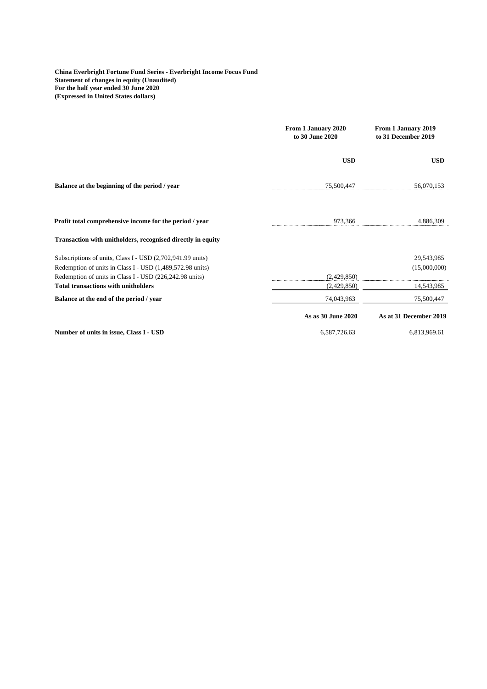**China Everbright Fortune Fund Series - Everbright Income Focus Fund Statement of changes in equity (Unaudited) For the half year ended 30 June 2020 (Expressed in United States dollars)**

|                                                                                                       | From 1 January 2020<br>to 30 June 2020 | From 1 January 2019<br>to 31 December 2019 |
|-------------------------------------------------------------------------------------------------------|----------------------------------------|--------------------------------------------|
|                                                                                                       | <b>USD</b>                             | <b>USD</b>                                 |
| Balance at the beginning of the period / year                                                         | 75,500,447                             | 56,070,153                                 |
| Profit total comprehensive income for the period / year                                               | 973,366                                | 4,886,309                                  |
| Transaction with unitholders, recognised directly in equity                                           |                                        |                                            |
| Subscriptions of units, Class I - USD (2,702,941.99 units)                                            |                                        | 29,543,985                                 |
| Redemption of units in Class I - USD (1,489,572.98 units)                                             |                                        | (15,000,000)                               |
| Redemption of units in Class I - USD (226,242.98 units)<br><b>Total transactions with unitholders</b> | (2,429,850)<br>(2,429,850)             | 14,543,985                                 |
| Balance at the end of the period / year                                                               | 74,043,963                             | 75,500,447                                 |
|                                                                                                       | As as 30 June 2020                     | As at 31 December 2019                     |
| Number of units in issue, Class I - USD                                                               | 6,587,726.63                           | 6,813,969.61                               |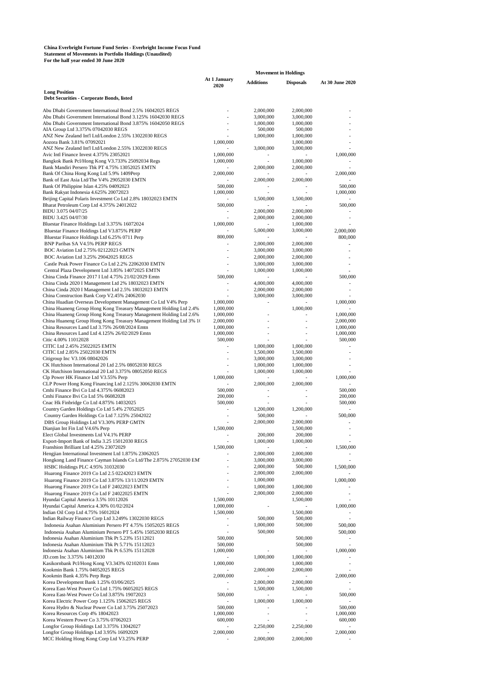## **China Everbright Fortune Fund Series - Everbright Income Focus Fund Statement of Movements in Portfolio Holdings (Unaudited) For the half year ended 30 June 2020**

|                                                                                                                              | <b>Movement in Holdings</b> |                        |                          |                 |
|------------------------------------------------------------------------------------------------------------------------------|-----------------------------|------------------------|--------------------------|-----------------|
|                                                                                                                              | At 1 January                | <b>Additions</b>       | <b>Disposals</b>         | At 30 June 2020 |
| <b>Long Position</b>                                                                                                         | 2020                        |                        |                          |                 |
| Debt Securities - Corporate Bonds, listed                                                                                    |                             |                        |                          |                 |
|                                                                                                                              |                             |                        |                          |                 |
| Abu Dhabi Government International Bond 2.5% 16042025 REGS                                                                   |                             | 2,000,000              | 2,000,000                |                 |
| Abu Dhabi Government International Bond 3.125% 16042030 REGS                                                                 |                             | 3,000,000              | 3,000,000                |                 |
| Abu Dhabi Government International Bond 3.875% 16042050 REGS<br>AIA Group Ltd 3.375% 07042030 REGS                           |                             | 1,000,000<br>500,000   | 1,000,000<br>500,000     |                 |
| ANZ New Zealand Int'l Ltd/London 2.55% 13022030 REGS                                                                         |                             | 1,000,000              | 1,000,000                |                 |
| Aozora Bank 3.81% 07092021                                                                                                   | 1,000,000                   |                        | 1,000,000                |                 |
| ANZ New Zealand Int'l Ltd/London 2.55% 13022030 REGS                                                                         |                             | 3,000,000              | 3,000,000                |                 |
| Avic Intl Finance Invest 4.375% 23052021                                                                                     | 1,000,000                   |                        |                          | 1,000,000       |
| Bangkok Bank Pcl/Hong Kong V3.733% 25092034 Regs                                                                             | 1,000,000                   |                        | 1,000,000                |                 |
| Bank Mandiri Persero Tbk PT 4.75% 13052025 EMTN                                                                              |                             | 2,000,000              | 2,000,000                |                 |
| Bank Of China Hong Kong Ltd 5.9% 1409Perp                                                                                    | 2,000,000                   |                        |                          | 2,000,000       |
| Bank of East Asia Ltd/The V4% 29052030 EMTN                                                                                  |                             | 2,000,000              | 2,000,000                |                 |
| Bank Of Philippine Islan 4.25% 04092023                                                                                      | 500,000                     |                        |                          | 500,000         |
| Bank Rakyat Indonesia 4.625% 20072023                                                                                        | 1,000,000                   |                        |                          | 1,000,000       |
| Beijing Capital Polaris Investment Co Ltd 2.8% 18032023 EMTN                                                                 |                             | 1,500,000              | 1,500,000                |                 |
| Bharat Petroleum Corp Ltd 4.375% 24012022                                                                                    | 500,000                     |                        |                          | 500,000         |
| BIDU 3.075 04/07/25<br>BIDU 3.425 04/07/30                                                                                   |                             | 2,000,000<br>2,000,000 | 2,000,000<br>2,000,000   |                 |
| Bluestar Finance Holdings Ltd 3.375% 16072024                                                                                | 1,000,000                   |                        | 1,000,000                |                 |
| Bluestar Finance Holdings Ltd V3.875% PERP                                                                                   |                             | 5,000,000              | 3,000,000                | 2,000,000       |
| Bluestar Finance Holdings Ltd 6.25% 0711 Perp                                                                                | 800,000                     |                        |                          | 800,000         |
| BNP Paribas SA V4.5% PERP REGS                                                                                               |                             | 2,000,000              | 2,000,000                |                 |
| BOC Aviation Ltd 2.75% 02122023 GMTN                                                                                         |                             | 3,000,000              | 3,000,000                |                 |
| BOC Aviation Ltd 3.25% 29042025 REGS                                                                                         |                             | 2,000,000              | 2,000,000                |                 |
| Castle Peak Power Finance Co Ltd 2.2% 22062030 EMTN                                                                          |                             | 3,000,000              | 3,000,000                |                 |
| Central Plaza Development Ltd 3.85% 14072025 EMTN                                                                            |                             | 1,000,000              | 1,000,000                |                 |
| China Cinda Finance 2017 I Ltd 4.75% 21/02/2029 Emtn                                                                         | 500,000                     |                        | $\overline{\phantom{a}}$ | 500,000         |
| China Cinda 2020 I Management Ltd 2% 18032023 EMTN                                                                           |                             | 4,000,000              | 4,000,000                |                 |
| China Cinda 2020 I Management Ltd 2.5% 18032023 EMTN                                                                         |                             | 2,000,000              | 2,000,000                |                 |
| China Construction Bank Corp V2.45% 24062030                                                                                 |                             | 3,000,000              | 3,000,000                |                 |
| China Huadian Overseas Development Management Co Ltd V4% Perp                                                                | 1,000,000                   |                        |                          | 1,000,000       |
| China Huaneng Group Hong Kong Treasury Management Holding Ltd 2.4%                                                           | 1,000,000                   |                        | 1,000,000                |                 |
| China Huaneng Group Hong Kong Treasury Management Holding Ltd 2.6%                                                           | 1,000,000                   |                        | ٠                        | 1,000,000       |
| China Huaneng Group Hong Kong Treasury Management Holding Ltd 3% 10                                                          | 2,000,000                   | ä,                     |                          | 2,000,000       |
| China Resources Land Ltd 3.75% 26/08/2024 Emtn                                                                               | 1,000,000                   | $\overline{a}$         |                          | 1,000,000       |
| China Resources Land Ltd 4.125% 26/02/2029 Emtn                                                                              | 1,000,000                   | L,                     |                          | 1,000,000       |
| Citic 4.00% 11012028                                                                                                         | 500,000                     |                        |                          | 500,000         |
| CITIC Ltd 2.45% 25022025 EMTN<br>CITIC Ltd 2.85% 25022030 EMTN                                                               |                             | 1,000,000<br>1,500,000 | 1,000,000<br>1,500,000   |                 |
| Citigroup Inc V3.106 08042026                                                                                                |                             | 3,000,000              | 3,000,000                |                 |
| CK Hutchison International 20 Ltd 2.5% 08052030 REGS                                                                         | $\overline{a}$              | 1,000,000              | 1,000,000                | ٠               |
| CK Hutchison International 20 Ltd 3.375% 08052050 REGS                                                                       |                             | 1,000,000              | 1,000,000                |                 |
| Clp Power HK Finance Ltd V3.55% Perp                                                                                         | 1,000,000                   |                        |                          | 1,000,000       |
| CLP Power Hong Kong Financing Ltd 2.125% 30062030 EMTN                                                                       |                             | 2,000,000              | 2,000,000                |                 |
| Cmhi Finance Bvi Co Ltd 4.375% 06082023                                                                                      | 500,000                     |                        |                          | 500,000         |
| Cmhi Finance Bvi Co Ltd 5% 06082028                                                                                          | 200,000                     |                        |                          | 200,000         |
| Cnac Hk Finbridge Co Ltd 4.875% 14032025                                                                                     | 500,000                     |                        |                          | 500,000         |
| Country Garden Holdings Co Ltd 5.4% 27052025                                                                                 |                             | 1,200,000              | 1,200,000                |                 |
| Country Garden Holdings Co Ltd 7.125% 25042022                                                                               | ٠                           | 500,000                |                          | 500,000         |
| DBS Group Holdings Ltd V3.30% PERP GMTN                                                                                      |                             | 2,000,000              | 2,000,000                |                 |
| Dianjian Int Fin Ltd V4.6% Perp                                                                                              | 1,500,000                   |                        | 1,500,000                |                 |
| Elect Global Investments Ltd V4.1% PERP                                                                                      |                             | 200,000                | 200,000                  |                 |
| Export-Import Bank of India 3.25 15012030 REGS                                                                               |                             | 1,000,000              | 1,000,000                |                 |
| Franshion Brilliant Ltd 4.25% 23072029                                                                                       | 1,500,000                   | 2,000,000              |                          | 1,500,000       |
| Hengjian International Investment Ltd 1.875% 23062025<br>Hongkong Land Finance Cayman Islands Co Ltd/The 2.875% 27052030 EM' |                             | 3,000,000              | 2,000,000                |                 |
| HSBC Holdings PLC 4.95% 31032030                                                                                             |                             | 2,000,000              | 3,000,000<br>500,000     | 1,500,000       |
| Huarong Finance 2019 Co Ltd 2.5 02242023 EMTN                                                                                |                             | 2,000,000              | 2,000,000                |                 |
| Huarong Finance 2019 Co Ltd 3.875% 13/11/2029 EMTN                                                                           |                             | 1,000,000              |                          | 1,000,000       |
| Huarong Finance 2019 Co Ltd F 24022023 EMTN                                                                                  |                             | 1,000,000              | 1,000,000                |                 |
| Huarong Finance 2019 Co Ltd F 24022025 EMTN                                                                                  |                             | 2,000,000              | 2,000,000                |                 |
| Hyundai Capital America 3.5% 10112026                                                                                        | 1,500,000                   |                        | 1,500,000                |                 |
| Hyundai Capital America 4.30% 01/02/2024                                                                                     | 1,000,000                   |                        |                          | 1,000,000       |
| Indian Oil Corp Ltd 4.75% 16012024                                                                                           | 1,500,000                   |                        | 1,500,000                |                 |
| Indian Railway Finance Corp Ltd 3.249% 13022030 REGS                                                                         | $\overline{\phantom{a}}$    | 500,000                | 500,000                  |                 |
| Indonesia Asahan Aluminium Persero PT 4.75% 15052025 REGS                                                                    | $\overline{a}$              | 1,000,000              | 500,000                  | 500,000         |
| Indonesia Asahan Aluminium Persero PT 5.45% 15052030 REGS                                                                    |                             | 500,000                |                          | 500,000         |
| Indonesia Asahan Aluminium Tbk Pt 5.23% 15112021                                                                             | 500,000                     |                        | 500,000                  |                 |
| Indonesia Asahan Aluminium Tbk Pt 5.71% 15112023                                                                             | 500,000                     |                        | 500,000                  |                 |
| Indonesia Asahan Aluminium Tbk Pt 6.53% 15112028                                                                             | 1,000,000                   |                        |                          | 1,000,000       |
| JD.com Inc 3.375% 14012030                                                                                                   |                             | 1,000,000              | 1,000,000                |                 |
| Kasikornbank Pcl/Hong Kong V3.343% 02102031 Emtn                                                                             | 1,000,000                   |                        | 1,000,000                |                 |
| Kookmin Bank 1.75% 04052025 REGS                                                                                             |                             | 2,000,000              | 2,000,000                |                 |
| Kookmin Bank 4.35% Perp Regs                                                                                                 | 2,000,000                   |                        | $\overline{\phantom{a}}$ | 2,000,000       |
| Korea Development Bank 1.25% 03/06/2025                                                                                      |                             | 2,000,000              | 2,000,000                |                 |
| Korea East-West Power Co Ltd 1.75% 06052025 REGS                                                                             |                             | 1,500,000              | 1,500,000                |                 |
| Korea East-West Power Co Ltd 3.875% 19072023<br>Korea Electric Power Corp 1.125% 15062025 REGS                               | 500,000                     | 1,000,000              | 1,000,000                | 500,000         |
| Korea Hydro & Nuclear Power Co Ltd 3.75% 25072023                                                                            | 500,000                     |                        |                          | 500,000         |
| Korea Resources Corp 4% 18042023                                                                                             | 1,000,000                   | $\overline{a}$         |                          | 1,000,000       |
| Korea Western Power Co 3.75% 07062023                                                                                        | 600,000                     |                        |                          | 600,000         |
| Longfor Group Holdings Ltd 3.375% 13042027                                                                                   |                             | 2,250,000              | 2,250,000                |                 |
| Longfor Group Holdings Ltd 3.95% 16092029                                                                                    | 2,000,000                   |                        |                          | 2,000,000       |
| MCC Holding Hong Kong Corp Ltd V3.25% PERP                                                                                   |                             | 2,000,000              | 2,000,000                |                 |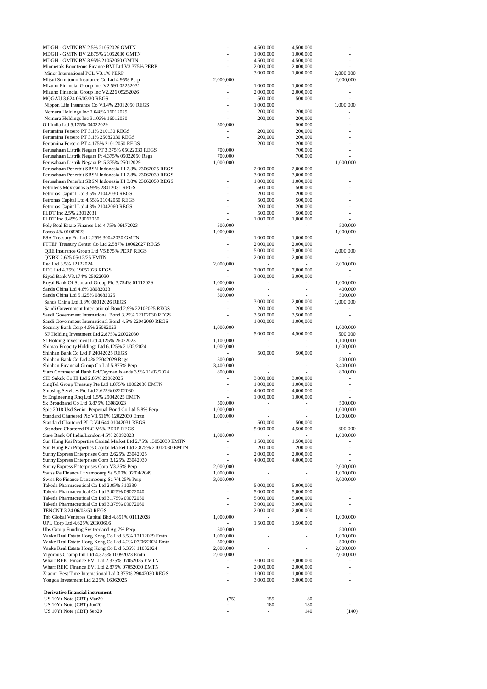| MDGH - GMTN BV 2.5% 21052026 GMTN                                                                     |                          | 4,500,000              | 4,500,000                    |                          |
|-------------------------------------------------------------------------------------------------------|--------------------------|------------------------|------------------------------|--------------------------|
| MDGH - GMTN BV 2.875% 21052030 GMTN                                                                   |                          | 1,000,000              | 1,000,000                    |                          |
| MDGH - GMTN BV 3.95% 21052050 GMTN                                                                    |                          | 4,500,000              | 4,500,000                    |                          |
| Minmetals Bounteous Finance BVI Ltd V3.375% PERP                                                      | L.                       | 2,000,000              | 2,000,000                    |                          |
| Minor International PCL V3.1% PERP                                                                    |                          | 3,000,000              | 1,000,000                    | 2,000,000                |
| Mitsui Sumitomo Insurance Co Ltd 4.95% Perp                                                           | 2,000,000                |                        |                              | 2,000,000                |
| Mizuho Financial Group Inc V2.591 05252031<br>Mizuho Financial Group Inc V2.226 05252026              | ÷,                       | 1,000,000<br>2,000,000 | 1,000,000<br>2,000,000       |                          |
| MQGAU 3.624 06/03/30 REGS                                                                             |                          | 500,000                | 500,000                      |                          |
| Nippon Life Insurance Co V3.4% 23012050 REGS                                                          |                          | 1,000,000              |                              | 1,000,000                |
| Nomura Holdings Inc 2.648% 16012025                                                                   |                          | 200,000                | 200,000                      |                          |
| Nomura Holdings Inc 3.103% 16012030                                                                   |                          | 200,000                | 200,000                      |                          |
| Oil India Ltd 5.125% 04022029                                                                         | 500,000                  |                        | 500,000                      |                          |
| Pertamina Persero PT 3.1% 210130 REGS                                                                 |                          | 200,000                | 200,000                      |                          |
| Pertamina Persero PT 3.1% 25082030 REGS                                                               | ÷,                       | 200,000                | 200,000                      |                          |
| Pertamina Persero PT 4.175% 21012050 REGS                                                             |                          | 200,000                | 200,000                      |                          |
| Perusahaan Listrik Negara PT 3.375% 05022030 REGS                                                     | 700,000                  |                        | 700,000                      |                          |
| Perusahaan Listrik Negara Pt 4.375% 05022050 Regs                                                     | 700,000                  |                        | 700,000                      |                          |
| Perusahaan Listrik Negara Pt 5.375% 25012029                                                          | 1,000,000                |                        |                              | 1,000,000                |
| Perusahaan Penerbit SBSN Indonesia III 2.3% 23062025 REGS                                             |                          | 2,000,000              | 2,000,000                    |                          |
| Perusahaan Penerbit SBSN Indonesia III 2.8% 23062030 REGS                                             |                          | 3,000,000              | 3,000,000                    |                          |
| Perusahaan Penerbit SBSN Indonesia III 3.8% 23062050 REGS                                             |                          | 1,000,000              | 1,000,000                    |                          |
| Petroleos Mexicanos 5.95% 28012031 REGS                                                               |                          | 500,000                | 500,000                      |                          |
| Petronas Capital Ltd 3.5% 21042030 REGS                                                               | $\overline{a}$           | 200,000                | 200,000                      |                          |
| Petronas Capital Ltd 4.55% 21042050 REGS                                                              |                          | 500,000                | 500,000                      |                          |
| Petronas Capital Ltd 4.8% 21042060 REGS                                                               | ä,                       | 200,000                | 200,000                      |                          |
| PLDT Inc 2.5% 23012031<br>PLDT Inc 3.45% 23062050                                                     |                          | 500,000<br>1,000,000   | 500,000<br>1,000,000         |                          |
| Poly Real Estate Finance Ltd 4.75% 09172023                                                           | 500,000                  |                        |                              | 500,000                  |
| Posco 4% 01082023                                                                                     | 1,000,000                |                        |                              | 1,000,000                |
| PSA Treasury Pte Ltd 2.25% 30042030 GMTN                                                              |                          | 1,000,000              | 1,000,000                    |                          |
| PTTEP Treasury Center Co Ltd 2.587% 10062027 REGS                                                     | $\overline{a}$           | 2,000,000              | 2,000,000                    |                          |
| QBE Insurance Group Ltd V5.875% PERP REGS                                                             | ÷,                       | 5,000,000              | 3,000,000                    | 2,000,000                |
| QNBK 2.625 05/12/25 EMTN                                                                              |                          | 2,000,000              | 2,000,000                    |                          |
| Rec Ltd 3.5% 12122024                                                                                 | 2,000,000                |                        |                              | 2,000,000                |
| REC Ltd 4.75% 19052023 REGS                                                                           |                          | 7,000,000              | 7,000,000                    |                          |
| Riyad Bank V3.174% 25022030                                                                           |                          | 3,000,000              | 3,000,000                    |                          |
| Royal Bank Of Scotland Group Plc 3.754% 01112029                                                      | 1,000,000                |                        | ÷                            | 1,000,000                |
| Sands China Ltd 4.6% 08082023                                                                         | 400,000                  | ÷,                     | $\qquad \qquad \blacksquare$ | 400,000                  |
| Sands China Ltd 5.125% 08082025                                                                       | 500,000                  |                        |                              | 500,000                  |
| Sands China Ltd 3.8% 08012026 REGS                                                                    | L,                       | 3,000,000              | 2,000,000                    | 1,000,000                |
| Saudi Government International Bond 2.9% 22102025 REGS                                                | ÷,                       | 200,000                | 200,000                      |                          |
| Saudi Government International Bond 3.25% 22102030 REGS                                               |                          | 3,500,000              | 3,500,000                    |                          |
| Saudi Government International Bond 4.5% 22042060 REGS                                                |                          | 1,000,000              | 1,000,000                    |                          |
| Security Bank Corp 4.5% 25092023                                                                      | 1,000,000                |                        |                              | 1,000,000                |
| SF Holding Investment Ltd 2.875% 20022030                                                             |                          | 5,000,000              | 4,500,000                    | 500,000                  |
| Sf Holding Investment Ltd 4.125% 26072023                                                             | 1,100,000                | ٠                      | ÷,                           | 1,100,000                |
| Shimao Property Holdings Ltd 6.125% 21/02/2024                                                        | 1,000,000                |                        |                              | 1,000,000                |
| Shinhan Bank Co Ltd F 24042025 REGS                                                                   |                          | 500,000                | 500,000                      |                          |
| Shinhan Bank Co Ltd 4% 23042029 Regs                                                                  | 500,000                  |                        | J.                           | 500,000<br>3,400,000     |
| Shinhan Financial Group Co Ltd 5.875% Perp<br>Siam Commercial Bank Pcl/Cayman Islands 3.9% 11/02/2024 | 3,400,000<br>800,000     |                        |                              | 800,000                  |
| SIB Sukuk Co III Ltd 2.85% 23062025                                                                   |                          | 3,000,000              | 3,000,000                    |                          |
| SingTel Group Treasury Pte Ltd 1.875% 10062030 EMTN                                                   | ÷,                       | 1,000,000              | 1,000,000                    | ÷,                       |
| Sinosing Services Pte Ltd 2.625% 02202030                                                             |                          | 4,000,000              | 4,000,000                    |                          |
| St Engineering Rhq Ltd 1.5% 29042025 EMTN                                                             |                          | 1,000,000              | 1,000,000                    |                          |
| Sk Broadband Co Ltd 3.875% 13082023                                                                   | 500,000                  |                        |                              | 500,000                  |
| Spic 2018 Usd Senior Perpetual Bond Co Ltd 5.8% Perp                                                  | 1,000,000                |                        |                              | 1,000,000                |
| Standard Chartered Plc V3.516% 12022030 Emtn                                                          | 1,000,000                |                        |                              | 1,000,000                |
| Standard Chartered PLC V4.644 01042031 REGS                                                           |                          | 500,000                | 500,000                      |                          |
| Standard Chartered PLC V6% PERP REGS                                                                  | ÷,                       | 5,000,000              | 4,500,000                    | 500,000                  |
| State Bank Of India/London 4.5% 28092023                                                              | 1,000,000                |                        |                              | 1,000,000                |
| Sun Hung Kai Properties Capital Market Ltd 2.75% 13052030 EMTN                                        |                          | 1,500,000              | 1,500,000                    |                          |
| Sun Hung Kai Properties Capital Market Ltd 2.875% 21012030 EMTN                                       | L,                       | 200,000                | 200,000                      | $\overline{\phantom{a}}$ |
| Sunny Express Enterprises Corp 2.625% 23042025                                                        | L,                       | 2,000,000              | 2,000,000                    | L,                       |
| Sunny Express Enterprises Corp 3.125% 23042030                                                        |                          | 4,000,000              | 4,000,000                    |                          |
| Sunny Express Enterprises Corp V3.35% Perp                                                            | 2,000,000                |                        |                              | 2,000,000                |
| Swiss Re Finance Luxembourg Sa 5.00% 02/04/2049                                                       | 1,000,000                | ÷,                     | $\qquad \qquad \blacksquare$ | 1,000,000                |
| Swiss Re Finance Luxembourg Sa V4.25% Perp<br>Takeda Pharmaceutical Co Ltd 2.05% 310330               | 3,000,000                |                        |                              | 3,000,000                |
| Takeda Pharmaceutical Co Ltd 3.025% 09072040                                                          | $\overline{\phantom{a}}$ | 5,000,000<br>5,000,000 | 5,000,000<br>5,000,000       |                          |
| Takeda Pharmaceutical Co Ltd 3.175% 09072050                                                          |                          | 5,000,000              | 5,000,000                    |                          |
| Takeda Pharmaceutical Co Ltd 3.375% 09072060                                                          | L,                       | 3,000,000              | 3,000,000                    | $\overline{a}$           |
| TENCNT 3.24 06/03/50 REGS                                                                             |                          | 2,000,000              | 2,000,000                    |                          |
| Tnb Global Ventures Capital Bhd 4.851% 01112028                                                       | 1,000,000                |                        | $\overline{\phantom{a}}$     | 1,000,000                |
| UPL Corp Ltd 4.625% 20300616                                                                          |                          | 1,500,000              | 1,500,000                    |                          |
| Ubs Group Funding Switzerland Ag 7% Perp                                                              | 500,000                  |                        |                              | 500,000                  |
| Vanke Real Estate Hong Kong Co Ltd 3.5% 12112029 Emtn                                                 | 1,000,000                | L,                     | J.                           | 1,000,000                |
| Vanke Real Estate Hong Kong Co Ltd 4.2% 07/06/2024 Emtn                                               | 500,000                  |                        |                              | 500,000                  |
| Vanke Real Estate Hong Kong Co Ltd 5.35% 11032024                                                     | 2,000,000                |                        |                              | 2,000,000                |
| Vigorous Champ Intl Ltd 4.375% 10092023 Emtn                                                          | 2,000,000                |                        |                              | 2,000,000                |
| Wharf REIC Finance BVI Ltd 2.375% 07052025 EMTN                                                       | ۰                        | 3,000,000              | 3,000,000                    | $\sim$                   |
| Wharf REIC Finance BVI Ltd 2.875% 07052030 EMTN                                                       | L,                       | 2,000,000              | 2,000,000                    | ٠                        |
| Xiaomi Best Time International Ltd 3.375% 29042030 REGS                                               | ÷,                       | 1,000,000              | 1,000,000                    | ٠                        |
| Yongda Investment Ltd 2.25% 16062025                                                                  | L,                       | 3,000,000              | 3,000,000                    | ÷,                       |
|                                                                                                       |                          |                        |                              |                          |
| Derivative financial instrument                                                                       |                          |                        |                              |                          |
| US 10Yr Note (CBT) Mar20<br>US 10Yr Note (CBT) Jun20                                                  | (75)                     | 155<br>180             | 80<br>180                    |                          |
| US 10Yr Note (CBT) Sep20                                                                              | $\overline{a}$           | $\frac{1}{2}$          | 140                          | (140)                    |
|                                                                                                       |                          |                        |                              |                          |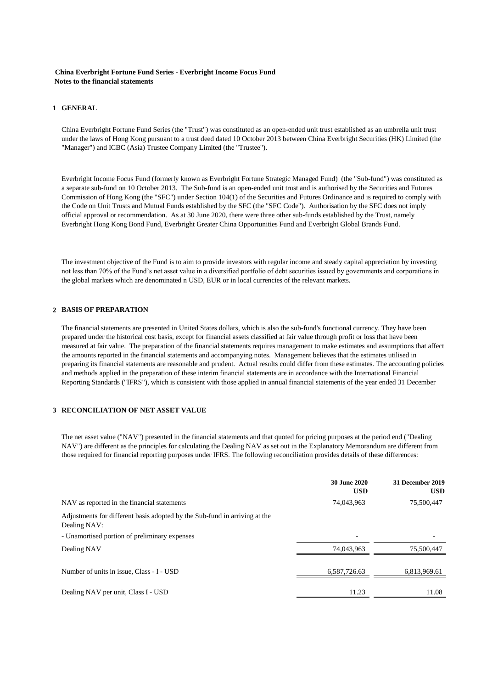#### **China Everbright Fortune Fund Series - Everbright Income Focus Fund Notes to the financial statements**

#### **1 GENERAL**

China Everbright Fortune Fund Series (the "Trust") was constituted as an open-ended unit trust established as an umbrella unit trust under the laws of Hong Kong pursuant to a trust deed dated 10 October 2013 between China Everbright Securities (HK) Limited (the "Manager") and ICBC (Asia) Trustee Company Limited (the "Trustee").

Everbright Income Focus Fund (formerly known as Everbright Fortune Strategic Managed Fund) (the "Sub-fund") was constituted as a separate sub-fund on 10 October 2013. The Sub-fund is an open-ended unit trust and is authorised by the Securities and Futures Commission of Hong Kong (the "SFC") under Section 104(1) of the Securities and Futures Ordinance and is required to comply with the Code on Unit Trusts and Mutual Funds established by the SFC (the "SFC Code"). Authorisation by the SFC does not imply official approval or recommendation. As at 30 June 2020, there were three other sub-funds established by the Trust, namely Everbright Hong Kong Bond Fund, Everbright Greater China Opportunities Fund and Everbright Global Brands Fund.

The investment objective of the Fund is to aim to provide investors with regular income and steady capital appreciation by investing not less than 70% of the Fund's net asset value in a diversified portfolio of debt securities issued by governments and corporations in the global markets which are denominated n USD, EUR or in local currencies of the relevant markets.

#### **2 BASIS OF PREPARATION**

The financial statements are presented in United States dollars, which is also the sub-fund's functional currency. They have been prepared under the historical cost basis, except for financial assets classified at fair value through profit or loss that have been measured at fair value. The preparation of the financial statements requires management to make estimates and assumptions that affect the amounts reported in the financial statements and accompanying notes. Management believes that the estimates utilised in preparing its financial statements are reasonable and prudent. Actual results could differ from these estimates. The accounting policies and methods applied in the preparation of these interim financial statements are in accordance with the International Financial Reporting Standards ("IFRS"), which is consistent with those applied in annual financial statements of the year ended 31 December

### **3 RECONCILIATION OF NET ASSET VALUE**

The net asset value ("NAV") presented in the financial statements and that quoted for pricing purposes at the period end ("Dealing NAV") are different as the principles for calculating the Dealing NAV as set out in the Explanatory Memorandum are different from those required for financial reporting purposes under IFRS. The following reconciliation provides details of these differences:

|                                                                                            | 30 June 2020<br><b>USD</b> | 31 December 2019<br><b>USD</b> |
|--------------------------------------------------------------------------------------------|----------------------------|--------------------------------|
| NAV as reported in the financial statements                                                | 74,043,963                 | 75,500,447                     |
| Adjustments for different basis adopted by the Sub-fund in arriving at the<br>Dealing NAV: |                            |                                |
| - Unamortised portion of preliminary expenses                                              | $\overline{\phantom{0}}$   |                                |
| Dealing NAV                                                                                | 74,043,963                 | 75,500,447                     |
| Number of units in issue, Class - I - USD                                                  | 6,587,726.63               | 6,813,969.61                   |
| Dealing NAV per unit, Class I - USD                                                        | 11.23                      | 11.08                          |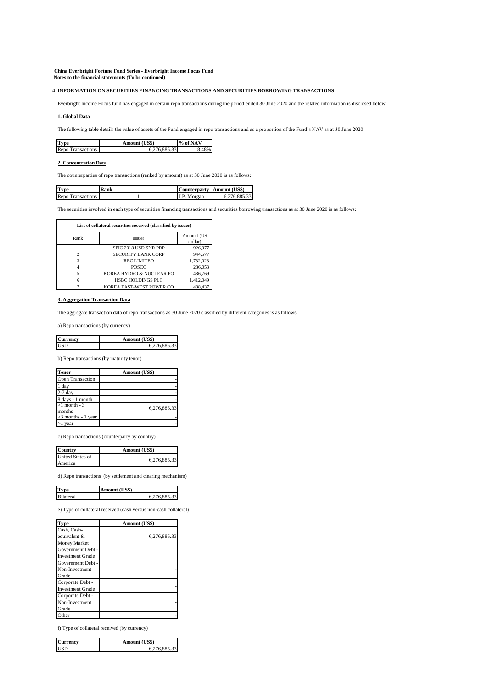**China Everbright Fortune Fund Series - Everbright Income Focus Fund Notes to the financial statements (To be continued)**

#### **4 INFORMATION ON SECURITIES FINANCING TRANSACTIONS AND SECURITIES BORROWING TRANSACTIONS**

Everbright Income Focus fund has engaged in certain repo transactions during the period ended 30 June 2020 and the related information is disclosed below.

#### **1. Global Data**

The following table details the value of assets of the Fund engaged in repo transactions and as a proportion of the Fund's NAV as at 30 June 2020.

| <b>Type</b>              | Amount (US\$) | % of NAV |
|--------------------------|---------------|----------|
| <b>Repo Transactions</b> | 6.276.885.33  |          |

#### **2. Concentration Data**

The counterparties of repo transactions (ranked by amount) as at 30 June 2020 is as follows:

| <b>Type</b>       | Kank | Counterparty Amount (US\$) |              |
|-------------------|------|----------------------------|--------------|
| Repo Transactions |      | J.P.<br>Morgan             | 6.276.885.33 |

The securities involved in each type of securities financing transactions and securities borrowing transactions as at 30 June 2020 is as follows:

| List of collateral securities received (classified by issuer) |                           |                       |
|---------------------------------------------------------------|---------------------------|-----------------------|
| Rank                                                          | <b>Issuer</b>             | Amount (US<br>dollar) |
|                                                               | SPIC 2018 USD SNR PRP     | 926.977               |
| 2                                                             | <b>SECURITY BANK CORP</b> | 944.577               |
| 3                                                             | <b>RECLIMITED</b>         | 1,732,023             |
| 4                                                             | POSCO                     | 286,053               |
| 5                                                             | KOREA HYDRO & NUCLEAR PO  | 486,769               |
| 6                                                             | <b>HSBC HOLDINGS PLC</b>  | 1.412.049             |
|                                                               | KOREA EAST-WEST POWER CO  | 488,437               |

#### **3. Aggregation Transaction Data**

The aggregate transaction data of repo transactions as 30 June 2020 classified by different categories is as follows:

a) Repo transactions (by currency)

| Currency | Amount (US\$) |
|----------|---------------|
| IISD     | 76 885 33     |

b) Repo transactions (by maturity tenor)

| <b>Tenor</b>             | Amount (US\$) |  |  |
|--------------------------|---------------|--|--|
| <b>Open Transaction</b>  |               |  |  |
| 1 day                    |               |  |  |
| $2-7$ day                |               |  |  |
| 8 days - 1 month         |               |  |  |
| $>1$ month - 3<br>months | 6.276.885.33  |  |  |
| $>3$ months - 1 year     |               |  |  |
| $>1$ year                |               |  |  |

c) Repo transactions (counterparty by country)

| Country                 | Amount (US\$) |  |
|-------------------------|---------------|--|
| <b>United States of</b> | 6,276,885.33  |  |
| America                 |               |  |

d) Repo transactions (by settlement and clearing mechanism)

| <b>Type</b>      | Amount (US\$) |
|------------------|---------------|
| <b>Bilateral</b> | 6.276.885.33  |

e) Type of collateral received (cash versus non-cash collateral)

| Type                    | Amount (US\$) |  |  |  |
|-------------------------|---------------|--|--|--|
| Cash, Cash-             |               |  |  |  |
| equivalent &            | 6,276,885.33  |  |  |  |
| <b>Money Market</b>     |               |  |  |  |
| Government Debt -       |               |  |  |  |
| <b>Investment Grade</b> |               |  |  |  |
| Government Debt -       |               |  |  |  |
| Non-Investment          |               |  |  |  |
| Grade                   |               |  |  |  |
| Corporate Debt -        |               |  |  |  |
| <b>Investment Grade</b> |               |  |  |  |
| Corporate Debt -        |               |  |  |  |
| Non-Investment          |               |  |  |  |
| Grade                   |               |  |  |  |
| Other                   |               |  |  |  |

f) Type of collateral received (by currency)

| <b>Currency</b> | Amount (US\$) |  |  |
|-----------------|---------------|--|--|
| <b>USD</b>      | 6.276.885.33  |  |  |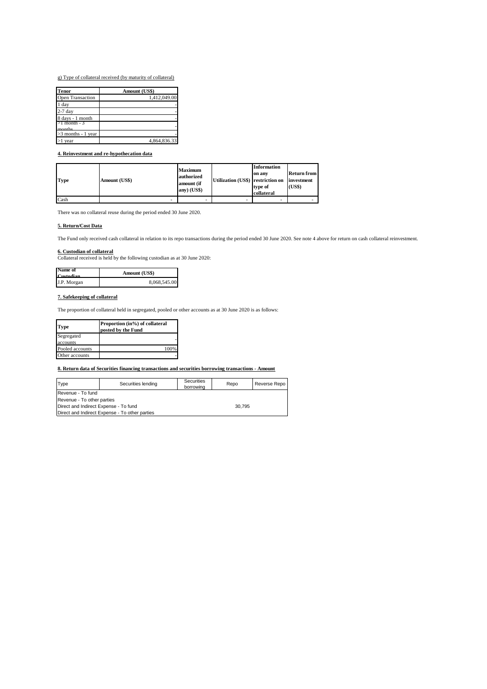g) Type of collateral received (by maturity of collateral)

| <b>Tenor</b>            | Amount (US\$) |  |  |
|-------------------------|---------------|--|--|
| <b>Open Transaction</b> | 1,412,049.00  |  |  |
| 1 day                   |               |  |  |
| $2-7$ day               |               |  |  |
| 8 days - 1 month        |               |  |  |
| >1 month - 3<br>monthe  |               |  |  |
| $>3$ months - 1 year    |               |  |  |
| $>1$ year               | 4,864,836.33  |  |  |

#### **4. Reinvestment and re-hypothecation data**

| <b>Type</b> | Amount (US\$) | Maximum<br>authorized<br>amount (if<br>any) (US\$) | Utilization (US\$) restriction on | <b>Information</b><br>on any<br>type of<br>collateral | Return from<br>investment<br>(US\$) |
|-------------|---------------|----------------------------------------------------|-----------------------------------|-------------------------------------------------------|-------------------------------------|
| Cash        |               |                                                    |                                   |                                                       |                                     |

There was no collateral reuse during the period ended 30 June 2020.

#### **5. Return/Cost Data**

The Fund only received cash collateral in relation to its repo transactions during the period ended 30 June 2020. See note 4 above for return on cash collateral reinvestment.

**6. Custodian of collateral** Collateral received is held by the following custodian as at 30 June 2020:

| Name of<br>Custodian | Amount (US\$) |
|----------------------|---------------|
| J.P. Morgan          | 8,068,545.00  |

#### **7. Safekeeping of collateral**

The proportion of collateral held in segregated, pooled or other accounts as at 30 June 2020 is as follows:

| Proportion (in%) of collateral<br>posted by the Fund |  |
|------------------------------------------------------|--|
|                                                      |  |
|                                                      |  |
| 100%                                                 |  |
|                                                      |  |
|                                                      |  |

**8. Return data of Securities financing transactions and securities borrowing transactions - Amount**

| Type                                           | Securities lending | Securities<br>borrowing | Repo | Reverse Repo |
|------------------------------------------------|--------------------|-------------------------|------|--------------|
| Revenue - To fund                              |                    |                         |      |              |
| Revenue - To other parties                     |                    |                         |      |              |
| Direct and Indirect Expense - To fund          |                    | 30.795                  |      |              |
| Direct and Indirect Expense - To other parties |                    |                         |      |              |